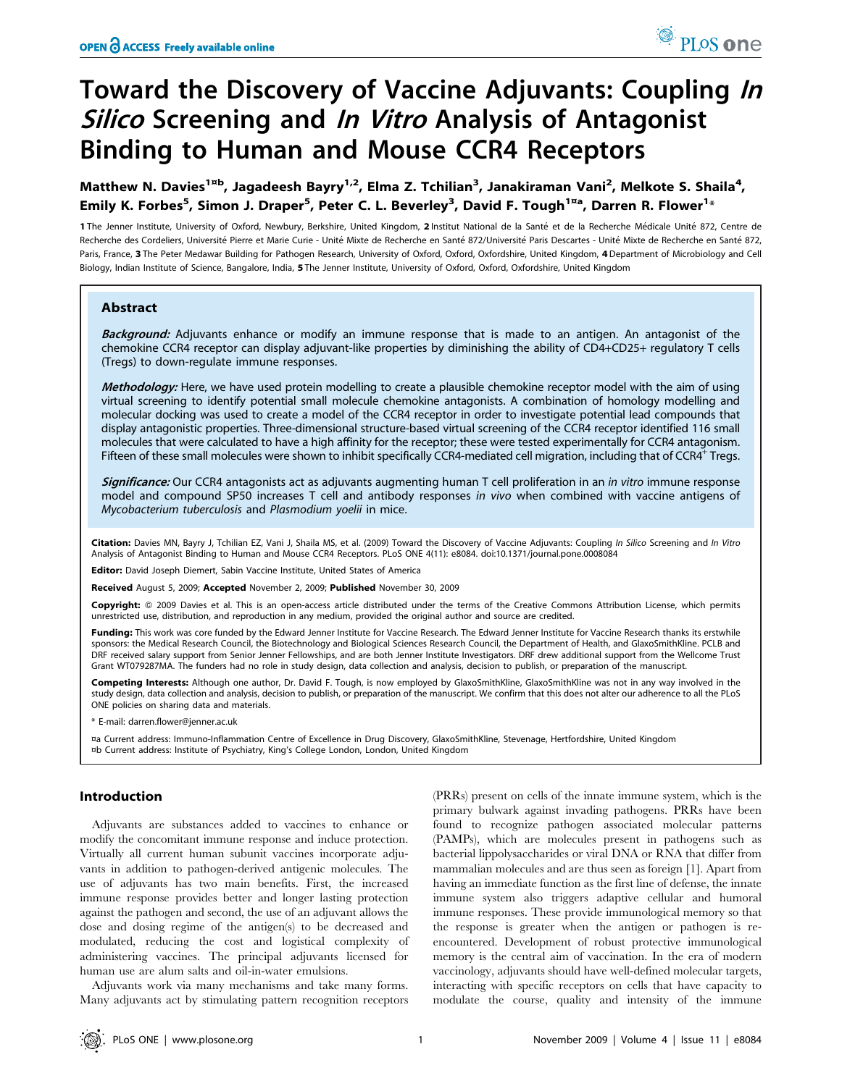# Toward the Discovery of Vaccine Adjuvants: Coupling In Silico Screening and In Vitro Analysis of Antagonist Binding to Human and Mouse CCR4 Receptors

Matthew N. Davies<sup>1¤b</sup>, Jagadeesh Bayry<sup>1,2</sup>, Elma Z. Tchilian<sup>3</sup>, Janakiraman Vani<sup>2</sup>, Melkote S. Shaila<sup>4</sup>, Emily K. Forbes<sup>5</sup>, Simon J. Draper<sup>5</sup>, Peter C. L. Beverley<sup>3</sup>, David F. Tough<sup>1¤a</sup>, Darren R. Flower<sup>1</sup>\*

1 The Jenner Institute, University of Oxford, Newbury, Berkshire, United Kingdom, 2 Institut National de la Santé et de la Recherche Médicale Unité 872, Centre de Recherche des Cordeliers, Université Pierre et Marie Curie - Unité Mixte de Recherche en Santé 872/Université Paris Descartes - Unité Mixte de Recherche en Santé 872, Paris, France, 3 The Peter Medawar Building for Pathogen Research, University of Oxford, Oxford, Oxfordshire, United Kingdom, 4 Department of Microbiology and Cell Biology, Indian Institute of Science, Bangalore, India, 5 The Jenner Institute, University of Oxford, Oxford, Oxfordshire, United Kingdom

## Abstract

Background: Adjuvants enhance or modify an immune response that is made to an antigen. An antagonist of the chemokine CCR4 receptor can display adjuvant-like properties by diminishing the ability of CD4+CD25+ regulatory T cells (Tregs) to down-regulate immune responses.

Methodology: Here, we have used protein modelling to create a plausible chemokine receptor model with the aim of using virtual screening to identify potential small molecule chemokine antagonists. A combination of homology modelling and molecular docking was used to create a model of the CCR4 receptor in order to investigate potential lead compounds that display antagonistic properties. Three-dimensional structure-based virtual screening of the CCR4 receptor identified 116 small molecules that were calculated to have a high affinity for the receptor; these were tested experimentally for CCR4 antagonism. Fifteen of these small molecules were shown to inhibit specifically CCR4-mediated cell migration, including that of CCR4+ Tregs.

Significance: Our CCR4 antagonists act as adjuvants augmenting human T cell proliferation in an in vitro immune response model and compound SP50 increases T cell and antibody responses in vivo when combined with vaccine antigens of Mycobacterium tuberculosis and Plasmodium yoelii in mice.

Citation: Davies MN, Bayry J, Tchilian EZ, Vani J, Shaila MS, et al. (2009) Toward the Discovery of Vaccine Adjuvants: Coupling In Silico Screening and In Vitro Analysis of Antagonist Binding to Human and Mouse CCR4 Receptors. PLoS ONE 4(11): e8084. doi:10.1371/journal.pone.0008084

Editor: David Joseph Diemert, Sabin Vaccine Institute, United States of America

Received August 5, 2009; Accepted November 2, 2009; Published November 30, 2009

Copyright: © 2009 Davies et al. This is an open-access article distributed under the terms of the Creative Commons Attribution License, which permits unrestricted use, distribution, and reproduction in any medium, provided the original author and source are credited.

Funding: This work was core funded by the Edward Jenner Institute for Vaccine Research. The Edward Jenner Institute for Vaccine Research thanks its erstwhile sponsors: the Medical Research Council, the Biotechnology and Biological Sciences Research Council, the Department of Health, and GlaxoSmithKline. PCLB and DRF received salary support from Senior Jenner Fellowships, and are both Jenner Institute Investigators. DRF drew additional support from the Wellcome Trust Grant WT079287MA. The funders had no role in study design, data collection and analysis, decision to publish, or preparation of the manuscript.

Competing Interests: Although one author, Dr. David F. Tough, is now employed by GlaxoSmithKline, GlaxoSmithKline was not in any way involved in the study design, data collection and analysis, decision to publish, or preparation of the manuscript. We confirm that this does not alter our adherence to all the PLoS ONE policies on sharing data and materials.

\* E-mail: darren.flower@jenner.ac.uk

¤a Current address: Immuno-Inflammation Centre of Excellence in Drug Discovery, GlaxoSmithKline, Stevenage, Hertfordshire, United Kingdom ¤b Current address: Institute of Psychiatry, King's College London, London, United Kingdom

## Introduction

Adjuvants are substances added to vaccines to enhance or modify the concomitant immune response and induce protection. Virtually all current human subunit vaccines incorporate adjuvants in addition to pathogen-derived antigenic molecules. The use of adjuvants has two main benefits. First, the increased immune response provides better and longer lasting protection against the pathogen and second, the use of an adjuvant allows the dose and dosing regime of the antigen(s) to be decreased and modulated, reducing the cost and logistical complexity of administering vaccines. The principal adjuvants licensed for human use are alum salts and oil-in-water emulsions.

Adjuvants work via many mechanisms and take many forms. Many adjuvants act by stimulating pattern recognition receptors

(PRRs) present on cells of the innate immune system, which is the primary bulwark against invading pathogens. PRRs have been found to recognize pathogen associated molecular patterns (PAMPs), which are molecules present in pathogens such as bacterial lippolysaccharides or viral DNA or RNA that differ from mammalian molecules and are thus seen as foreign [1]. Apart from having an immediate function as the first line of defense, the innate immune system also triggers adaptive cellular and humoral immune responses. These provide immunological memory so that the response is greater when the antigen or pathogen is reencountered. Development of robust protective immunological memory is the central aim of vaccination. In the era of modern vaccinology, adjuvants should have well-defined molecular targets, interacting with specific receptors on cells that have capacity to modulate the course, quality and intensity of the immune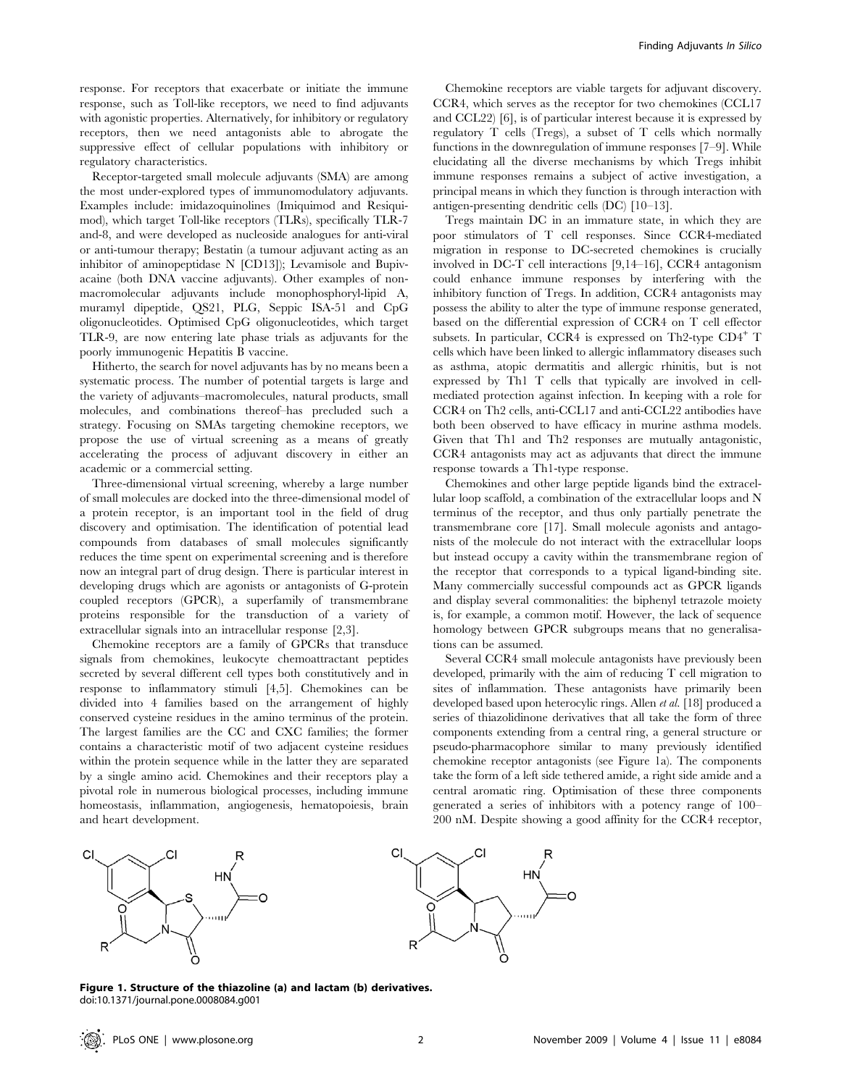response. For receptors that exacerbate or initiate the immune response, such as Toll-like receptors, we need to find adjuvants with agonistic properties. Alternatively, for inhibitory or regulatory receptors, then we need antagonists able to abrogate the suppressive effect of cellular populations with inhibitory or regulatory characteristics.

Receptor-targeted small molecule adjuvants (SMA) are among the most under-explored types of immunomodulatory adjuvants. Examples include: imidazoquinolines (Imiquimod and Resiquimod), which target Toll-like receptors (TLRs), specifically TLR-7 and-8, and were developed as nucleoside analogues for anti-viral or anti-tumour therapy; Bestatin (a tumour adjuvant acting as an inhibitor of aminopeptidase N [CD13]); Levamisole and Bupivacaine (both DNA vaccine adjuvants). Other examples of nonmacromolecular adjuvants include monophosphoryl-lipid A, muramyl dipeptide, QS21, PLG, Seppic ISA-51 and CpG oligonucleotides. Optimised CpG oligonucleotides, which target TLR-9, are now entering late phase trials as adjuvants for the poorly immunogenic Hepatitis B vaccine.

Hitherto, the search for novel adjuvants has by no means been a systematic process. The number of potential targets is large and the variety of adjuvants–macromolecules, natural products, small molecules, and combinations thereof–has precluded such a strategy. Focusing on SMAs targeting chemokine receptors, we propose the use of virtual screening as a means of greatly accelerating the process of adjuvant discovery in either an academic or a commercial setting.

Three-dimensional virtual screening, whereby a large number of small molecules are docked into the three-dimensional model of a protein receptor, is an important tool in the field of drug discovery and optimisation. The identification of potential lead compounds from databases of small molecules significantly reduces the time spent on experimental screening and is therefore now an integral part of drug design. There is particular interest in developing drugs which are agonists or antagonists of G-protein coupled receptors (GPCR), a superfamily of transmembrane proteins responsible for the transduction of a variety of extracellular signals into an intracellular response [2,3].

Chemokine receptors are a family of GPCRs that transduce signals from chemokines, leukocyte chemoattractant peptides secreted by several different cell types both constitutively and in response to inflammatory stimuli [4,5]. Chemokines can be divided into 4 families based on the arrangement of highly conserved cysteine residues in the amino terminus of the protein. The largest families are the CC and CXC families; the former contains a characteristic motif of two adjacent cysteine residues within the protein sequence while in the latter they are separated by a single amino acid. Chemokines and their receptors play a pivotal role in numerous biological processes, including immune homeostasis, inflammation, angiogenesis, hematopoiesis, brain and heart development.

Chemokine receptors are viable targets for adjuvant discovery. CCR4, which serves as the receptor for two chemokines (CCL17 and CCL22) [6], is of particular interest because it is expressed by regulatory T cells (Tregs), a subset of T cells which normally functions in the downregulation of immune responses [7–9]. While elucidating all the diverse mechanisms by which Tregs inhibit immune responses remains a subject of active investigation, a principal means in which they function is through interaction with antigen-presenting dendritic cells (DC) [10–13].

Tregs maintain DC in an immature state, in which they are poor stimulators of T cell responses. Since CCR4-mediated migration in response to DC-secreted chemokines is crucially involved in DC-T cell interactions [9,14–16], CCR4 antagonism could enhance immune responses by interfering with the inhibitory function of Tregs. In addition, CCR4 antagonists may possess the ability to alter the type of immune response generated, based on the differential expression of CCR4 on T cell effector subsets. In particular, CCR4 is expressed on Th2-type CD4<sup>+</sup> T cells which have been linked to allergic inflammatory diseases such as asthma, atopic dermatitis and allergic rhinitis, but is not expressed by Th1 T cells that typically are involved in cellmediated protection against infection. In keeping with a role for CCR4 on Th2 cells, anti-CCL17 and anti-CCL22 antibodies have both been observed to have efficacy in murine asthma models. Given that Th1 and Th2 responses are mutually antagonistic, CCR4 antagonists may act as adjuvants that direct the immune response towards a Th1-type response.

Chemokines and other large peptide ligands bind the extracellular loop scaffold, a combination of the extracellular loops and N terminus of the receptor, and thus only partially penetrate the transmembrane core [17]. Small molecule agonists and antagonists of the molecule do not interact with the extracellular loops but instead occupy a cavity within the transmembrane region of the receptor that corresponds to a typical ligand-binding site. Many commercially successful compounds act as GPCR ligands and display several commonalities: the biphenyl tetrazole moiety is, for example, a common motif. However, the lack of sequence homology between GPCR subgroups means that no generalisations can be assumed.

Several CCR4 small molecule antagonists have previously been developed, primarily with the aim of reducing T cell migration to sites of inflammation. These antagonists have primarily been developed based upon heterocylic rings. Allen et al. [18] produced a series of thiazolidinone derivatives that all take the form of three components extending from a central ring, a general structure or pseudo-pharmacophore similar to many previously identified chemokine receptor antagonists (see Figure 1a). The components take the form of a left side tethered amide, a right side amide and a central aromatic ring. Optimisation of these three components generated a series of inhibitors with a potency range of 100– 200 nM. Despite showing a good affinity for the CCR4 receptor,



Figure 1. Structure of the thiazoline (a) and lactam (b) derivatives. doi:10.1371/journal.pone.0008084.g001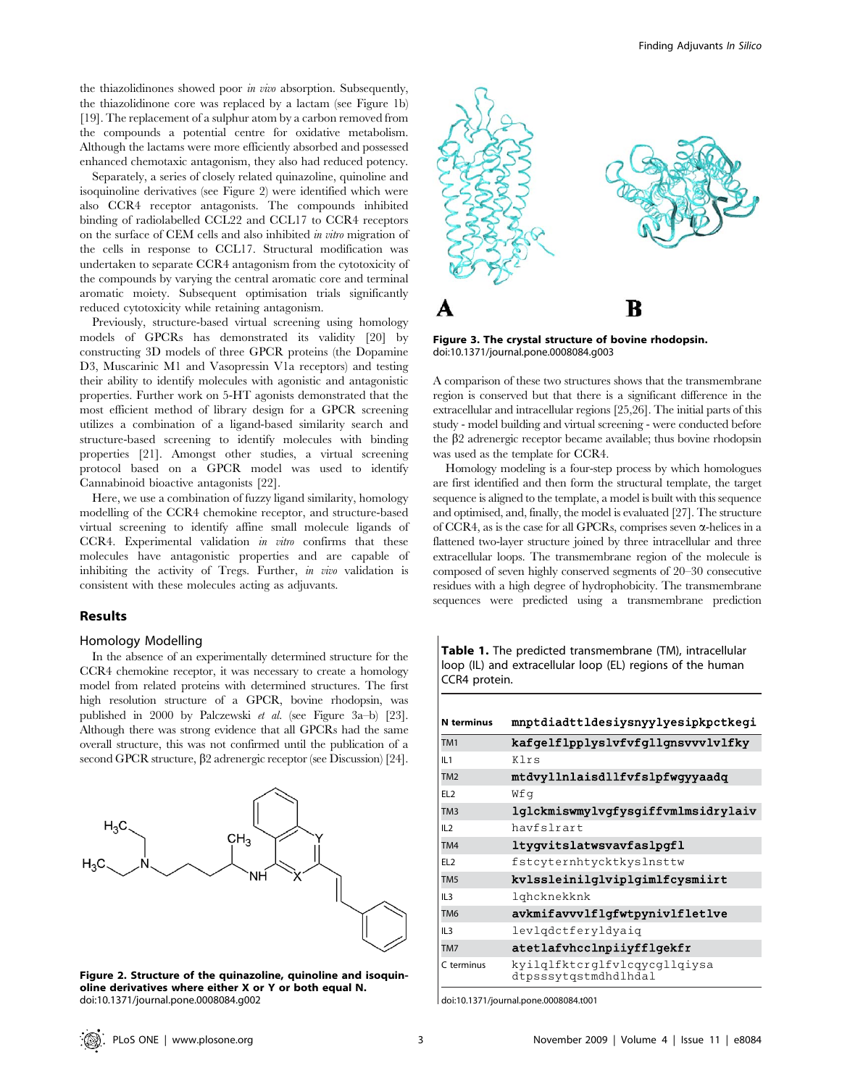the thiazolidinones showed poor in vivo absorption. Subsequently, the thiazolidinone core was replaced by a lactam (see Figure 1b) [19]. The replacement of a sulphur atom by a carbon removed from the compounds a potential centre for oxidative metabolism. Although the lactams were more efficiently absorbed and possessed enhanced chemotaxic antagonism, they also had reduced potency.

Separately, a series of closely related quinazoline, quinoline and isoquinoline derivatives (see Figure 2) were identified which were also CCR4 receptor antagonists. The compounds inhibited binding of radiolabelled CCL22 and CCL17 to CCR4 receptors on the surface of CEM cells and also inhibited in vitro migration of the cells in response to CCL17. Structural modification was undertaken to separate CCR4 antagonism from the cytotoxicity of the compounds by varying the central aromatic core and terminal aromatic moiety. Subsequent optimisation trials significantly reduced cytotoxicity while retaining antagonism.

Previously, structure-based virtual screening using homology models of GPCRs has demonstrated its validity [20] by constructing 3D models of three GPCR proteins (the Dopamine D3, Muscarinic M1 and Vasopressin V1a receptors) and testing their ability to identify molecules with agonistic and antagonistic properties. Further work on 5-HT agonists demonstrated that the most efficient method of library design for a GPCR screening utilizes a combination of a ligand-based similarity search and structure-based screening to identify molecules with binding properties [21]. Amongst other studies, a virtual screening protocol based on a GPCR model was used to identify Cannabinoid bioactive antagonists [22].

Here, we use a combination of fuzzy ligand similarity, homology modelling of the CCR4 chemokine receptor, and structure-based virtual screening to identify affine small molecule ligands of CCR4. Experimental validation in vitro confirms that these molecules have antagonistic properties and are capable of inhibiting the activity of Tregs. Further, in vivo validation is consistent with these molecules acting as adjuvants.

## Results

#### Homology Modelling

In the absence of an experimentally determined structure for the CCR4 chemokine receptor, it was necessary to create a homology model from related proteins with determined structures. The first high resolution structure of a GPCR, bovine rhodopsin, was published in 2000 by Palczewski et al. (see Figure 3a–b) [23]. Although there was strong evidence that all GPCRs had the same overall structure, this was not confirmed until the publication of a second GPCR structure,  $\beta$ 2 adrenergic receptor (see Discussion) [24].



Figure 2. Structure of the quinazoline, quinoline and isoquinoline derivatives where either X or Y or both equal N. doi:10.1371/journal.pone.0008084.g002



Figure 3. The crystal structure of bovine rhodopsin. doi:10.1371/journal.pone.0008084.g003

A comparison of these two structures shows that the transmembrane region is conserved but that there is a significant difference in the extracellular and intracellular regions [25,26]. The initial parts of this study - model building and virtual screening - were conducted before the  $\beta$ 2 adrenergic receptor became available; thus bovine rhodopsin was used as the template for CCR4.

Homology modeling is a four-step process by which homologues are first identified and then form the structural template, the target sequence is aligned to the template, a model is built with this sequence and optimised, and, finally, the model is evaluated [27]. The structure of CCR4, as is the case for all GPCRs, comprises seven  $\alpha$ -helices in a flattened two-layer structure joined by three intracellular and three extracellular loops. The transmembrane region of the molecule is composed of seven highly conserved segments of 20–30 consecutive residues with a high degree of hydrophobicity. The transmembrane sequences were predicted using a transmembrane prediction

Table 1. The predicted transmembrane (TM), intracellular loop (IL) and extracellular loop (EL) regions of the human CCR4 protein.

| <b>N</b> terminus | mnptdiadttldesiysnyylyesipkpctkegi                   |
|-------------------|------------------------------------------------------|
| TM <sub>1</sub>   | kafgelflpplyslvfvfgllgnsvvvlvlfky                    |
| II <sub>1</sub>   | Klrs                                                 |
| TM <sub>2</sub>   | mtdvyllnlaisdllfvfslpfwqyyaadq                       |
| EL2               | Wfq                                                  |
| TM <sub>3</sub>   | lglckmiswmylvgfysgiffvmlmsidrylaiv                   |
| IL2               | havfslrart                                           |
| TM4               | ltygvitslatwsvavfaslpgfl                             |
| FI <sub>2</sub>   | fstcyternhtycktkyslnsttw                             |
| TM <sub>5</sub>   | kvlssleinilglviplgimlfcysmiirt                       |
| IL3               | lghcknekknk                                          |
| TM <sub>6</sub>   | avkmifavvvlflqfwtpynivlfletlve                       |
| IL3               | levlqdctferyldyaiq                                   |
| TM7               | atetlafvhcclnpiiyfflgekfr                            |
| C terminus        | kyilglfktcrglfvlcgycgllgiysa<br>dtpsssytqstmdhdlhdal |
|                   |                                                      |

doi:10.1371/journal.pone.0008084.t001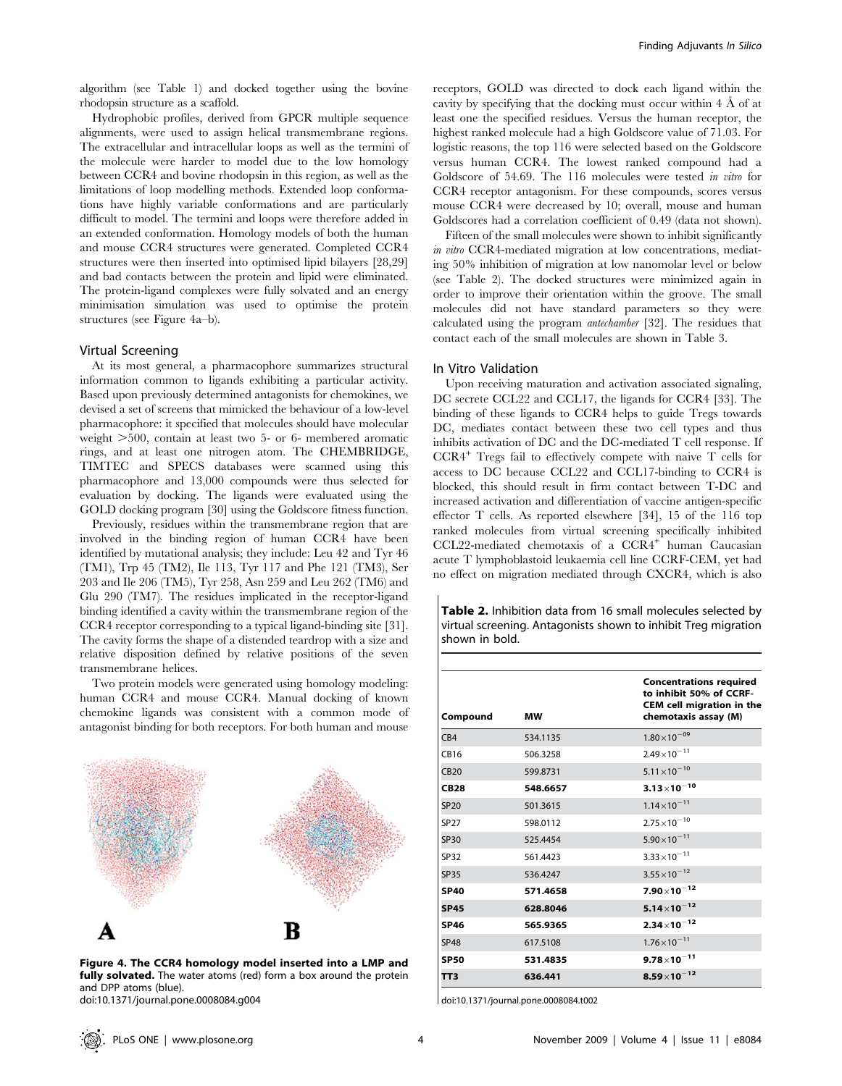algorithm (see Table 1) and docked together using the bovine rhodopsin structure as a scaffold.

Hydrophobic profiles, derived from GPCR multiple sequence alignments, were used to assign helical transmembrane regions. The extracellular and intracellular loops as well as the termini of the molecule were harder to model due to the low homology between CCR4 and bovine rhodopsin in this region, as well as the limitations of loop modelling methods. Extended loop conformations have highly variable conformations and are particularly difficult to model. The termini and loops were therefore added in an extended conformation. Homology models of both the human and mouse CCR4 structures were generated. Completed CCR4 structures were then inserted into optimised lipid bilayers [28,29] and bad contacts between the protein and lipid were eliminated. The protein-ligand complexes were fully solvated and an energy minimisation simulation was used to optimise the protein structures (see Figure 4a–b).

## Virtual Screening

At its most general, a pharmacophore summarizes structural information common to ligands exhibiting a particular activity. Based upon previously determined antagonists for chemokines, we devised a set of screens that mimicked the behaviour of a low-level pharmacophore: it specified that molecules should have molecular weight  $>500$ , contain at least two 5- or 6- membered aromatic rings, and at least one nitrogen atom. The CHEMBRIDGE, TIMTEC and SPECS databases were scanned using this pharmacophore and 13,000 compounds were thus selected for evaluation by docking. The ligands were evaluated using the GOLD docking program [30] using the Goldscore fitness function.

Previously, residues within the transmembrane region that are involved in the binding region of human CCR4 have been identified by mutational analysis; they include: Leu 42 and Tyr 46 (TM1), Trp 45 (TM2), Ile 113, Tyr 117 and Phe 121 (TM3), Ser 203 and Ile 206 (TM5), Tyr 258, Asn 259 and Leu 262 (TM6) and Glu 290 (TM7). The residues implicated in the receptor-ligand binding identified a cavity within the transmembrane region of the CCR4 receptor corresponding to a typical ligand-binding site [31]. The cavity forms the shape of a distended teardrop with a size and relative disposition defined by relative positions of the seven transmembrane helices.

Two protein models were generated using homology modeling: human CCR4 and mouse CCR4. Manual docking of known chemokine ligands was consistent with a common mode of antagonist binding for both receptors. For both human and mouse



Figure 4. The CCR4 homology model inserted into a LMP and fully solvated. The water atoms (red) form a box around the protein and DPP atoms (blue).

doi:10.1371/journal.pone.0008084.g004

receptors, GOLD was directed to dock each ligand within the cavity by specifying that the docking must occur within  $4 \text{ Å}$  of at least one the specified residues. Versus the human receptor, the highest ranked molecule had a high Goldscore value of 71.03. For logistic reasons, the top 116 were selected based on the Goldscore versus human CCR4. The lowest ranked compound had a Goldscore of 54.69. The 116 molecules were tested in vitro for CCR4 receptor antagonism. For these compounds, scores versus mouse CCR4 were decreased by 10; overall, mouse and human Goldscores had a correlation coefficient of 0.49 (data not shown).

Fifteen of the small molecules were shown to inhibit significantly in vitro CCR4-mediated migration at low concentrations, mediating 50% inhibition of migration at low nanomolar level or below (see Table 2). The docked structures were minimized again in order to improve their orientation within the groove. The small molecules did not have standard parameters so they were calculated using the program antechamber [32]. The residues that contact each of the small molecules are shown in Table 3.

#### In Vitro Validation

Upon receiving maturation and activation associated signaling, DC secrete CCL22 and CCL17, the ligands for CCR4 [33]. The binding of these ligands to CCR4 helps to guide Tregs towards DC, mediates contact between these two cell types and thus inhibits activation of DC and the DC-mediated T cell response. If CCR4<sup>+</sup> Tregs fail to effectively compete with naive T cells for access to DC because CCL22 and CCL17-binding to CCR4 is blocked, this should result in firm contact between T-DC and increased activation and differentiation of vaccine antigen-specific effector T cells. As reported elsewhere [34], 15 of the 116 top ranked molecules from virtual screening specifically inhibited CCL22-mediated chemotaxis of a CCR4<sup>+</sup> human Caucasian acute T lymphoblastoid leukaemia cell line CCRF-CEM, yet had no effect on migration mediated through CXCR4, which is also

Table 2. Inhibition data from 16 small molecules selected by virtual screening. Antagonists shown to inhibit Treg migration shown in bold.

| Compound         | мw       | <b>Concentrations required</b><br>to inhibit 50% of CCRF-<br>CEM cell migration in the<br>chemotaxis assay (M) |
|------------------|----------|----------------------------------------------------------------------------------------------------------------|
| CB4              | 534.1135 | $1.80\times10^{-09}$                                                                                           |
| CB16             | 506.3258 | $2.49 \times 10^{-11}$                                                                                         |
| <b>CB20</b>      | 599.8731 | $5.11 \times 10^{-10}$                                                                                         |
| <b>CB28</b>      | 548.6657 | $3.13 \times 10^{-10}$                                                                                         |
| SP <sub>20</sub> | 501.3615 | $1.14\times10^{-11}$                                                                                           |
| <b>SP27</b>      | 598.0112 | $2.75 \times 10^{-10}$                                                                                         |
| SP30             | 525.4454 | $5.90\times10^{-11}$                                                                                           |
| <b>SP32</b>      | 561.4423 | $3.33 \times 10^{-11}$                                                                                         |
| <b>SP35</b>      | 536.4247 | $3.55 \times 10^{-12}$                                                                                         |
| <b>SP40</b>      | 571.4658 | $7.90\times10^{-12}$                                                                                           |
| <b>SP45</b>      | 628.8046 | $5.14 \times 10^{-12}$                                                                                         |
| <b>SP46</b>      | 565.9365 | $2.34 \times 10^{-12}$                                                                                         |
| <b>SP48</b>      | 617.5108 | $1.76 \times 10^{-11}$                                                                                         |
| <b>SP50</b>      | 531.4835 | $9.78 \times 10^{-11}$                                                                                         |
| TT <sub>3</sub>  | 636.441  | $8.59 \times 10^{-12}$                                                                                         |

doi:10.1371/journal.pone.0008084.t002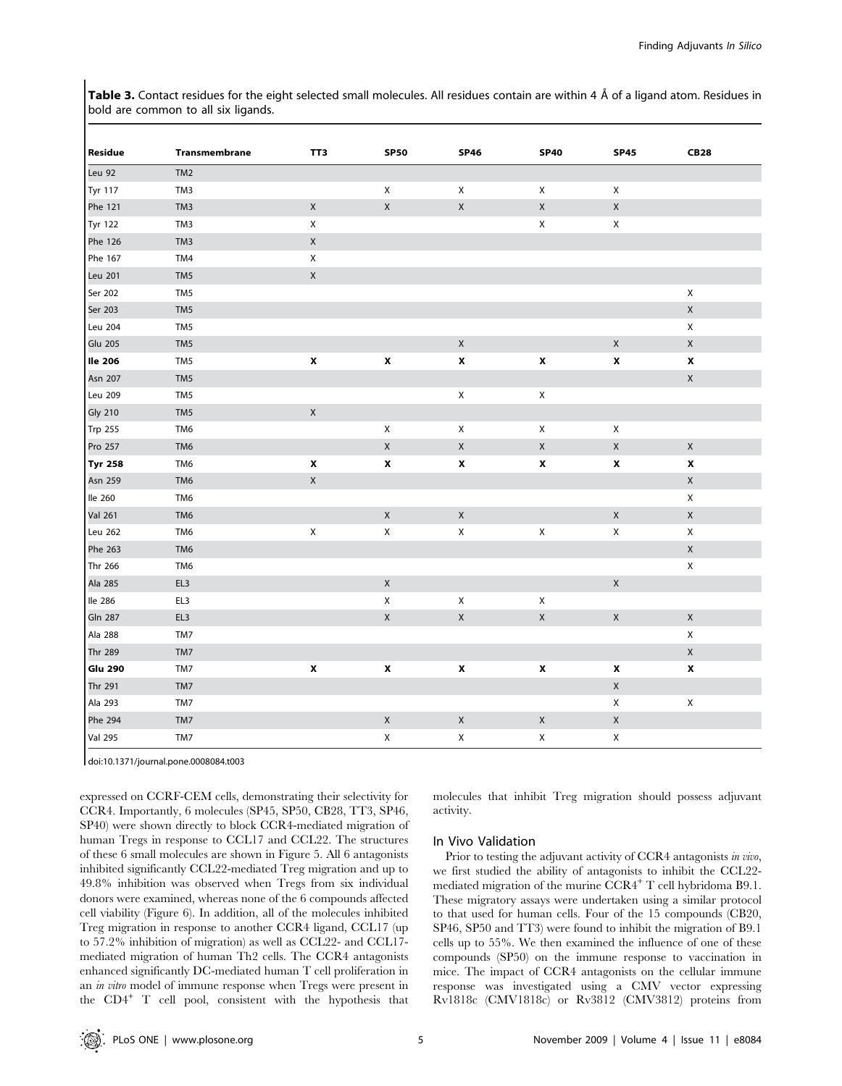Table 3. Contact residues for the eight selected small molecules. All residues contain are within 4 Å of a ligand atom. Residues in bold are common to all six ligands.

| Residue        | Transmembrane   | TT3                | <b>SP50</b>        | <b>SP46</b>        | <b>SP40</b>        | <b>SP45</b>        | <b>CB28</b>        |
|----------------|-----------------|--------------------|--------------------|--------------------|--------------------|--------------------|--------------------|
| Leu 92         | TM <sub>2</sub> |                    |                    |                    |                    |                    |                    |
| <b>Tyr 117</b> | TM3             |                    | X                  | X                  | X                  | X                  |                    |
| Phe 121        | TM <sub>3</sub> | $\mathsf X$        | $\mathsf X$        | $\mathsf X$        | $\mathsf X$        | $\mathsf X$        |                    |
| <b>Tyr 122</b> | TM3             | $\pmb{\mathsf{X}}$ |                    |                    | X                  | X                  |                    |
| Phe 126        | TM <sub>3</sub> | $\mathsf X$        |                    |                    |                    |                    |                    |
| Phe 167        | TM4             | X                  |                    |                    |                    |                    |                    |
| Leu 201        | TM <sub>5</sub> | $\mathsf X$        |                    |                    |                    |                    |                    |
| Ser 202        | TM <sub>5</sub> |                    |                    |                    |                    |                    | $\mathsf X$        |
| Ser 203        | TM <sub>5</sub> |                    |                    |                    |                    |                    | $\mathsf X$        |
| Leu 204        | TM <sub>5</sub> |                    |                    |                    |                    |                    | X                  |
| <b>Glu 205</b> | TM <sub>5</sub> |                    |                    | $\mathsf X$        |                    | $\mathsf X$        | $\mathsf X$        |
| <b>Ile 206</b> | TM <sub>5</sub> | $\pmb{\mathsf{x}}$ | $\pmb{\mathsf{x}}$ | $\pmb{\mathsf{x}}$ | $\pmb{\mathsf{x}}$ | $\pmb{\mathsf{x}}$ | $\pmb{\chi}$       |
| Asn 207        | TM <sub>5</sub> |                    |                    |                    |                    |                    | $\mathsf X$        |
| Leu 209        | TM <sub>5</sub> |                    |                    | $\mathsf X$        | $\mathsf X$        |                    |                    |
| <b>Gly 210</b> | TM <sub>5</sub> | $\mathsf X$        |                    |                    |                    |                    |                    |
| <b>Trp 255</b> | TM6             |                    | Χ                  | $\mathsf X$        | $\mathsf X$        | $\mathsf X$        |                    |
| Pro 257        | TM6             |                    | $\mathsf X$        | $\mathsf X$        | $\mathsf X$        | $\mathsf X$        | $\mathsf X$        |
| <b>Tyr 258</b> | TM6             | X                  | X                  | $\pmb{\mathsf{x}}$ | X                  | X                  | X                  |
| Asn 259        | TM <sub>6</sub> | $\mathsf X$        |                    |                    |                    |                    | $\mathsf X$        |
| <b>Ile 260</b> | TM6             |                    |                    |                    |                    |                    | X                  |
| <b>Val 261</b> | TM <sub>6</sub> |                    | $\mathsf X$        | $\mathsf X$        |                    | $\mathsf X$        | $\mathsf X$        |
| Leu 262        | TM6             | $\mathsf X$        | Χ                  | $\mathsf X$        | $\mathsf X$        | $\mathsf X$        | $\mathsf X$        |
| Phe 263        | TM <sub>6</sub> |                    |                    |                    |                    |                    | $\mathsf X$        |
| Thr 266        | TM6             |                    |                    |                    |                    |                    | $\mathsf X$        |
| Ala 285        | EL <sub>3</sub> |                    | $\mathsf X$        |                    |                    | $\mathsf X$        |                    |
| <b>Ile 286</b> | EL3             |                    | Χ                  | X                  | X                  |                    |                    |
| Gln 287        | EL3             |                    | $\mathsf X$        | $\mathsf X$        | $\pmb{\mathsf{X}}$ | $\mathsf X$        | $\mathsf X$        |
| Ala 288        | TM7             |                    |                    |                    |                    |                    | $\mathsf X$        |
| <b>Thr 289</b> | TM7             |                    |                    |                    |                    |                    | $\mathsf{X}$       |
| <b>Glu 290</b> | TM7             | $\pmb{\mathsf{x}}$ | $\pmb{\mathsf{x}}$ | X                  | $\pmb{\mathsf{x}}$ | $\pmb{\chi}$       | $\pmb{\mathsf{x}}$ |
| Thr 291        | TM7             |                    |                    |                    |                    | $\mathsf X$        |                    |
| Ala 293        | TM7             |                    |                    |                    |                    | X                  | $\mathsf X$        |
| Phe 294        | TM7             |                    | $\mathsf X$        | $\mathsf X$        | $\mathsf X$        | $\mathsf X$        |                    |
| <b>Val 295</b> | TM7             |                    | Χ                  | $\mathsf X$        | $\mathsf X$        | $\mathsf X$        |                    |

doi:10.1371/journal.pone.0008084.t003

expressed on CCRF-CEM cells, demonstrating their selectivity for CCR4. Importantly, 6 molecules (SP45, SP50, CB28, TT3, SP46, SP40) were shown directly to block CCR4-mediated migration of human Tregs in response to CCL17 and CCL22. The structures of these 6 small molecules are shown in Figure 5. All 6 antagonists inhibited significantly CCL22-mediated Treg migration and up to 49.8% inhibition was observed when Tregs from six individual donors were examined, whereas none of the 6 compounds affected cell viability (Figure 6). In addition, all of the molecules inhibited Treg migration in response to another CCR4 ligand, CCL17 (up to 57.2% inhibition of migration) as well as CCL22- and CCL17 mediated migration of human Th2 cells. The CCR4 antagonists enhanced significantly DC-mediated human T cell proliferation in an in vitro model of immune response when Tregs were present in the  $CD4^+$  T cell pool, consistent with the hypothesis that

molecules that inhibit Treg migration should possess adjuvant activity.

#### In Vivo Validation

Prior to testing the adjuvant activity of CCR4 antagonists in vivo, we first studied the ability of antagonists to inhibit the CCL22 mediated migration of the murine  $CCR4<sup>+</sup> T$  cell hybridoma B9.1. These migratory assays were undertaken using a similar protocol to that used for human cells. Four of the 15 compounds (CB20, SP46, SP50 and TT3) were found to inhibit the migration of B9.1 cells up to 55%. We then examined the influence of one of these compounds (SP50) on the immune response to vaccination in mice. The impact of CCR4 antagonists on the cellular immune response was investigated using a CMV vector expressing Rv1818c (CMV1818c) or Rv3812 (CMV3812) proteins from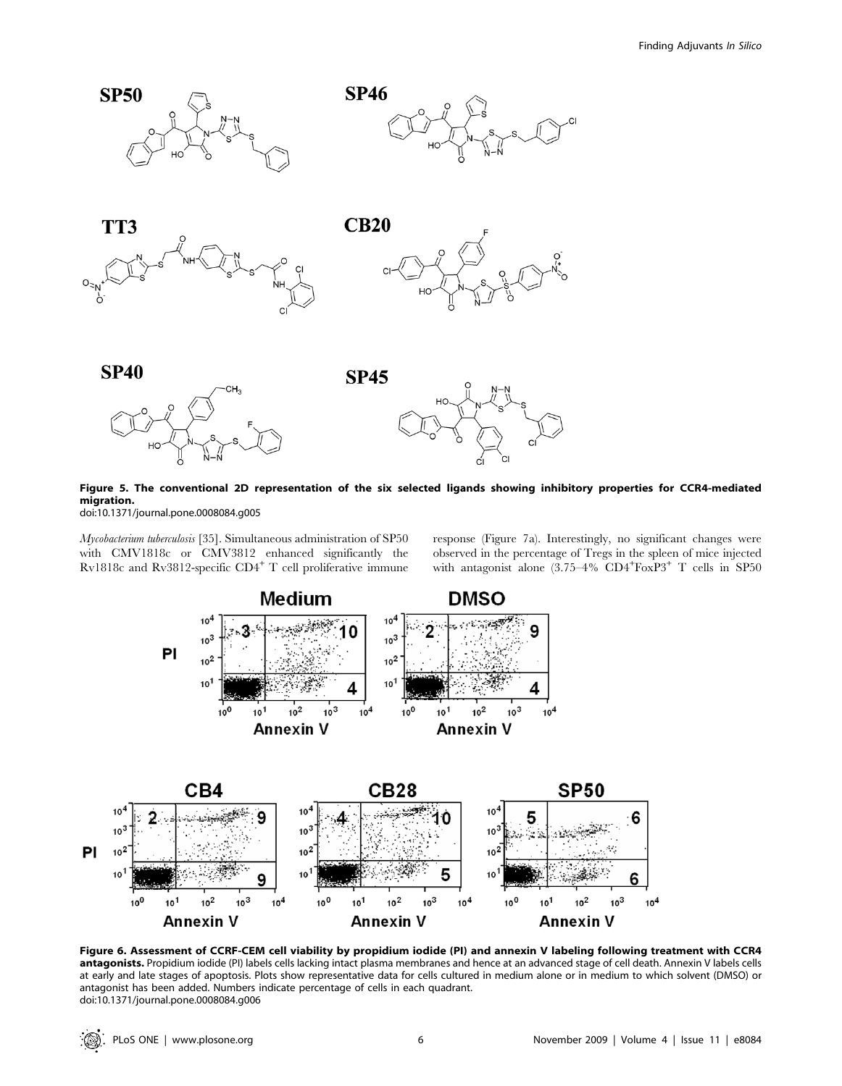

Figure 5. The conventional 2D representation of the six selected ligands showing inhibitory properties for CCR4-mediated migration. doi:10.1371/journal.pone.0008084.g005

Mycobacterium tuberculosis [35]. Simultaneous administration of SP50 with CMV1818c or CMV3812 enhanced significantly the

Rv1818c and Rv3812-specific CD4<sup>+</sup> T cell proliferative immune

response (Figure 7a). Interestingly, no significant changes were observed in the percentage of Tregs in the spleen of mice injected with antagonist alone (3.75-4% CD4+FoxP3+ T cells in SP50



Figure 6. Assessment of CCRF-CEM cell viability by propidium iodide (PI) and annexin V labeling following treatment with CCR4 antagonists. Propidium iodide (PI) labels cells lacking intact plasma membranes and hence at an advanced stage of cell death. Annexin V labels cells at early and late stages of apoptosis. Plots show representative data for cells cultured in medium alone or in medium to which solvent (DMSO) or antagonist has been added. Numbers indicate percentage of cells in each quadrant. doi:10.1371/journal.pone.0008084.g006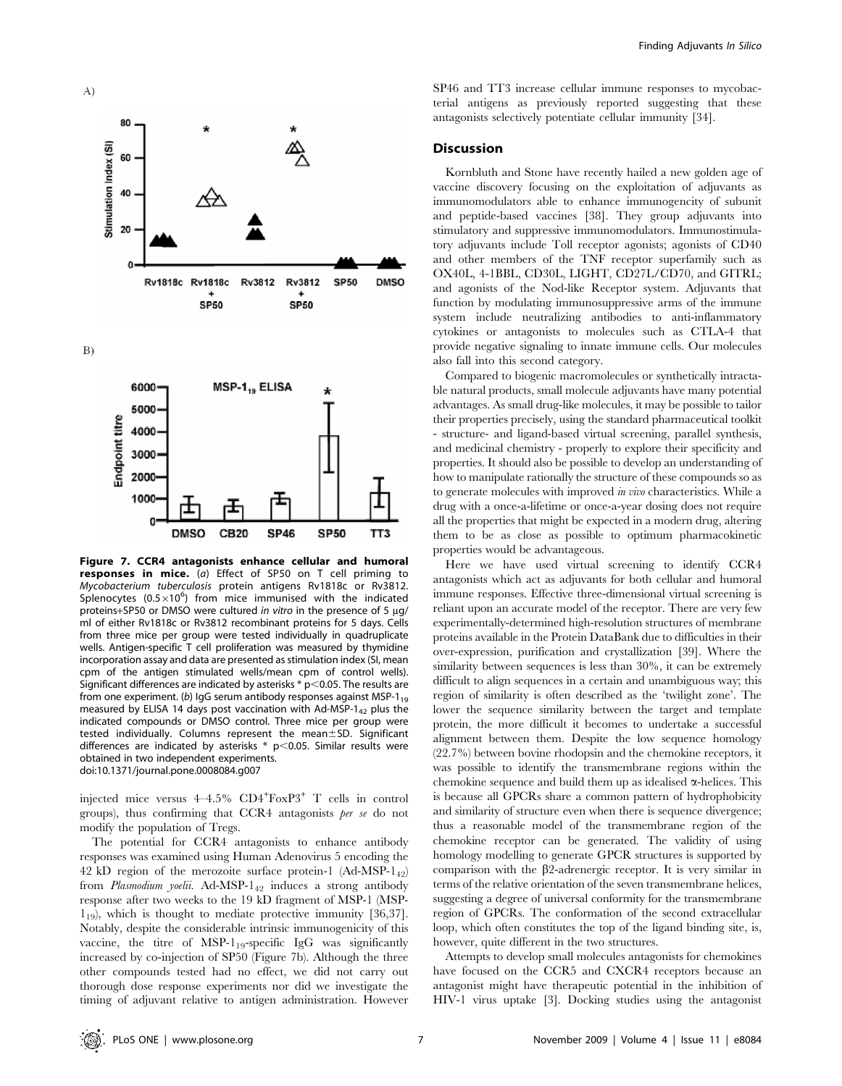



Figure 7. CCR4 antagonists enhance cellular and humoral responses in mice. (a) Effect of SP50 on T cell priming to Mycobacterium tuberculosis protein antigens Rv1818c or Rv3812. Splenocytes  $(0.5 \times 10^6)$  from mice immunised with the indicated proteins+SP50 or DMSO were cultured in vitro in the presence of 5  $\mu$ g/ ml of either Rv1818c or Rv3812 recombinant proteins for 5 days. Cells from three mice per group were tested individually in quadruplicate wells. Antigen-specific T cell proliferation was measured by thymidine incorporation assay and data are presented as stimulation index (SI, mean cpm of the antigen stimulated wells/mean cpm of control wells). Significant differences are indicated by asterisks  $*$  p $<$ 0.05. The results are from one experiment. (b) IgG serum antibody responses against MSP-1<sub>19</sub> measured by ELISA 14 days post vaccination with Ad-MSP-1 $_{42}$  plus the indicated compounds or DMSO control. Three mice per group were tested individually. Columns represent the mean $\pm$ SD. Significant differences are indicated by asterisks  $*$  p $<$ 0.05. Similar results were obtained in two independent experiments. doi:10.1371/journal.pone.0008084.g007

injected mice versus 4–4.5% CD4<sup>+</sup> FoxP3<sup>+</sup> T cells in control groups), thus confirming that CCR4 antagonists per se do not modify the population of Tregs.

The potential for CCR4 antagonists to enhance antibody responses was examined using Human Adenovirus 5 encoding the 42 kD region of the merozoite surface protein-1 (Ad-MSP-1<sub>42</sub>) from *Plasmodium yoelii*. Ad-MSP- $1_{42}$  induces a strong antibody response after two weeks to the 19 kD fragment of MSP-1 (MSP- $1_{19}$ , which is thought to mediate protective immunity [36,37]. Notably, despite the considerable intrinsic immunogenicity of this vaccine, the titre of MSP-119-specific IgG was significantly increased by co-injection of SP50 (Figure 7b). Although the three other compounds tested had no effect, we did not carry out thorough dose response experiments nor did we investigate the timing of adjuvant relative to antigen administration. However

SP46 and TT3 increase cellular immune responses to mycobacterial antigens as previously reported suggesting that these antagonists selectively potentiate cellular immunity [34].

## **Discussion**

Kornbluth and Stone have recently hailed a new golden age of vaccine discovery focusing on the exploitation of adjuvants as immunomodulators able to enhance immunogencity of subunit and peptide-based vaccines [38]. They group adjuvants into stimulatory and suppressive immunomodulators. Immunostimulatory adjuvants include Toll receptor agonists; agonists of CD40 and other members of the TNF receptor superfamily such as OX40L, 4-1BBL, CD30L, LIGHT, CD27L/CD70, and GITRL; and agonists of the Nod-like Receptor system. Adjuvants that function by modulating immunosuppressive arms of the immune system include neutralizing antibodies to anti-inflammatory cytokines or antagonists to molecules such as CTLA-4 that provide negative signaling to innate immune cells. Our molecules also fall into this second category.

Compared to biogenic macromolecules or synthetically intractable natural products, small molecule adjuvants have many potential advantages. As small drug-like molecules, it may be possible to tailor their properties precisely, using the standard pharmaceutical toolkit - structure- and ligand-based virtual screening, parallel synthesis, and medicinal chemistry - properly to explore their specificity and properties. It should also be possible to develop an understanding of how to manipulate rationally the structure of these compounds so as to generate molecules with improved in vivo characteristics. While a drug with a once-a-lifetime or once-a-year dosing does not require all the properties that might be expected in a modern drug, altering them to be as close as possible to optimum pharmacokinetic properties would be advantageous.

Here we have used virtual screening to identify CCR4 antagonists which act as adjuvants for both cellular and humoral immune responses. Effective three-dimensional virtual screening is reliant upon an accurate model of the receptor. There are very few experimentally-determined high-resolution structures of membrane proteins available in the Protein DataBank due to difficulties in their over-expression, purification and crystallization [39]. Where the similarity between sequences is less than 30%, it can be extremely difficult to align sequences in a certain and unambiguous way; this region of similarity is often described as the 'twilight zone'. The lower the sequence similarity between the target and template protein, the more difficult it becomes to undertake a successful alignment between them. Despite the low sequence homology (22.7%) between bovine rhodopsin and the chemokine receptors, it was possible to identify the transmembrane regions within the chemokine sequence and build them up as idealised  $\alpha$ -helices. This is because all GPCRs share a common pattern of hydrophobicity and similarity of structure even when there is sequence divergence; thus a reasonable model of the transmembrane region of the chemokine receptor can be generated. The validity of using homology modelling to generate GPCR structures is supported by comparison with the  $\beta$ 2-adrenergic receptor. It is very similar in terms of the relative orientation of the seven transmembrane helices, suggesting a degree of universal conformity for the transmembrane region of GPCRs. The conformation of the second extracellular loop, which often constitutes the top of the ligand binding site, is, however, quite different in the two structures.

Attempts to develop small molecules antagonists for chemokines have focused on the CCR5 and CXCR4 receptors because an antagonist might have therapeutic potential in the inhibition of HIV-1 virus uptake [3]. Docking studies using the antagonist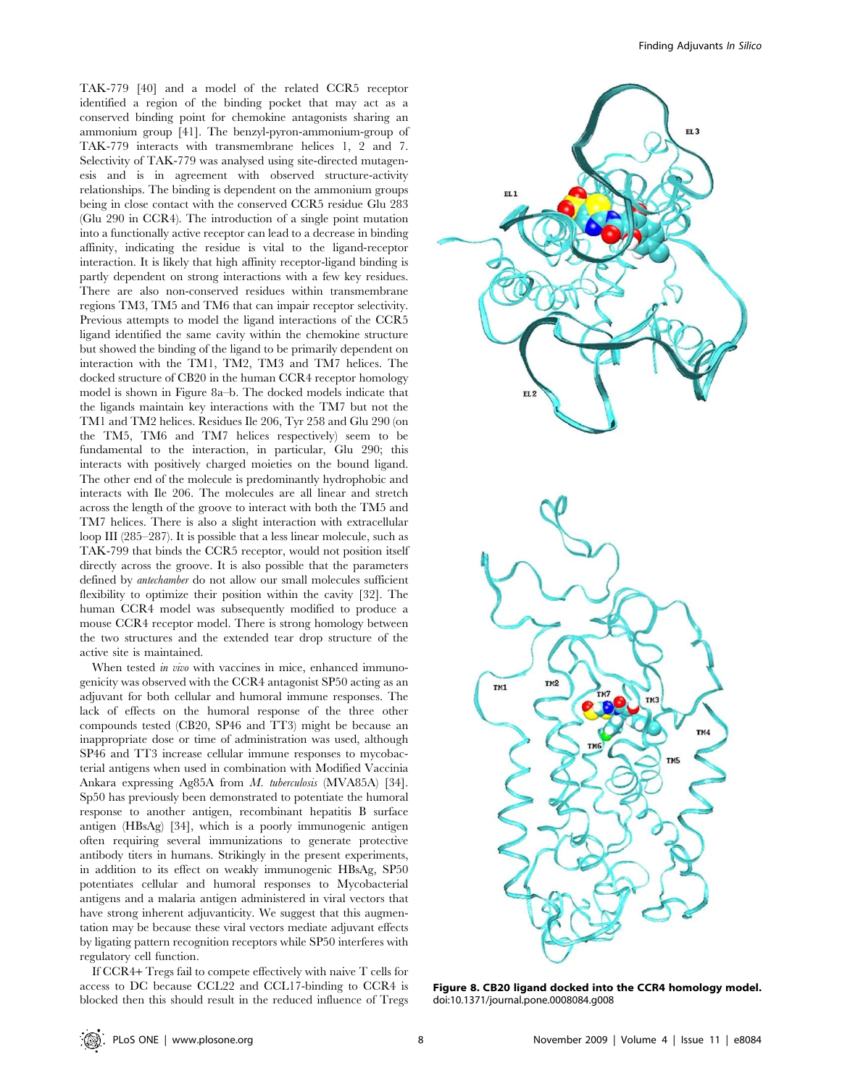TAK-779 [40] and a model of the related CCR5 receptor identified a region of the binding pocket that may act as a conserved binding point for chemokine antagonists sharing an ammonium group [41]. The benzyl-pyron-ammonium-group of TAK-779 interacts with transmembrane helices 1, 2 and 7. Selectivity of TAK-779 was analysed using site-directed mutagenesis and is in agreement with observed structure-activity relationships. The binding is dependent on the ammonium groups being in close contact with the conserved CCR5 residue Glu 283 (Glu 290 in CCR4). The introduction of a single point mutation into a functionally active receptor can lead to a decrease in binding affinity, indicating the residue is vital to the ligand-receptor interaction. It is likely that high affinity receptor-ligand binding is partly dependent on strong interactions with a few key residues. There are also non-conserved residues within transmembrane regions TM3, TM5 and TM6 that can impair receptor selectivity. Previous attempts to model the ligand interactions of the CCR5 ligand identified the same cavity within the chemokine structure but showed the binding of the ligand to be primarily dependent on interaction with the TM1, TM2, TM3 and TM7 helices. The docked structure of CB20 in the human CCR4 receptor homology model is shown in Figure 8a–b. The docked models indicate that the ligands maintain key interactions with the TM7 but not the TM1 and TM2 helices. Residues Ile 206, Tyr 258 and Glu 290 (on the TM5, TM6 and TM7 helices respectively) seem to be fundamental to the interaction, in particular, Glu 290; this interacts with positively charged moieties on the bound ligand. The other end of the molecule is predominantly hydrophobic and interacts with Ile 206. The molecules are all linear and stretch across the length of the groove to interact with both the TM5 and TM7 helices. There is also a slight interaction with extracellular loop III (285–287). It is possible that a less linear molecule, such as TAK-799 that binds the CCR5 receptor, would not position itself directly across the groove. It is also possible that the parameters defined by antechamber do not allow our small molecules sufficient flexibility to optimize their position within the cavity [32]. The human CCR4 model was subsequently modified to produce a mouse CCR4 receptor model. There is strong homology between the two structures and the extended tear drop structure of the active site is maintained.

When tested *in vivo* with vaccines in mice, enhanced immunogenicity was observed with the CCR4 antagonist SP50 acting as an adjuvant for both cellular and humoral immune responses. The lack of effects on the humoral response of the three other compounds tested (CB20, SP46 and TT3) might be because an inappropriate dose or time of administration was used, although SP46 and TT3 increase cellular immune responses to mycobacterial antigens when used in combination with Modified Vaccinia Ankara expressing Ag85A from M. tuberculosis (MVA85A) [34]. Sp50 has previously been demonstrated to potentiate the humoral response to another antigen, recombinant hepatitis B surface antigen (HBsAg) [34], which is a poorly immunogenic antigen often requiring several immunizations to generate protective antibody titers in humans. Strikingly in the present experiments, in addition to its effect on weakly immunogenic HBsAg, SP50 potentiates cellular and humoral responses to Mycobacterial antigens and a malaria antigen administered in viral vectors that have strong inherent adjuvanticity. We suggest that this augmentation may be because these viral vectors mediate adjuvant effects by ligating pattern recognition receptors while SP50 interferes with regulatory cell function.

If CCR4+ Tregs fail to compete effectively with naive T cells for access to DC because CCL22 and CCL17-binding to CCR4 is blocked then this should result in the reduced influence of Tregs



Figure 8. CB20 ligand docked into the CCR4 homology model. doi:10.1371/journal.pone.0008084.g008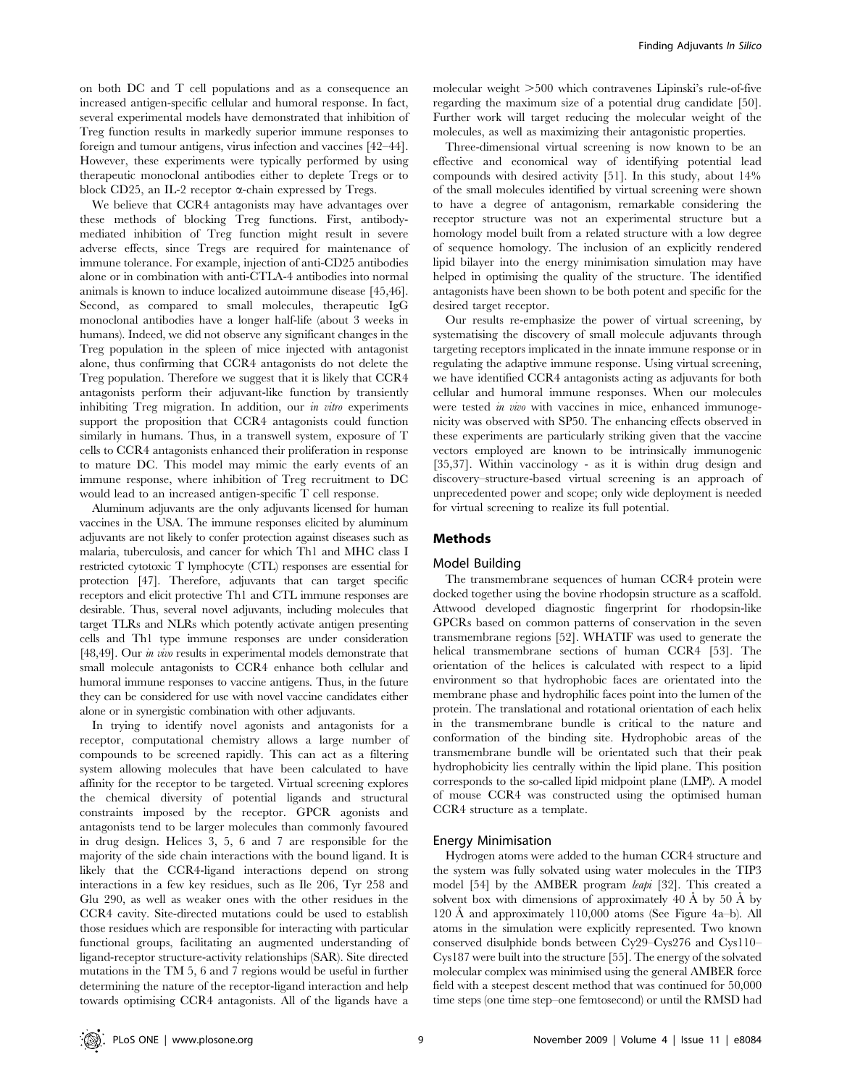on both DC and T cell populations and as a consequence an increased antigen-specific cellular and humoral response. In fact, several experimental models have demonstrated that inhibition of Treg function results in markedly superior immune responses to foreign and tumour antigens, virus infection and vaccines [42–44]. However, these experiments were typically performed by using therapeutic monoclonal antibodies either to deplete Tregs or to block CD25, an IL-2 receptor  $\alpha$ -chain expressed by Tregs.

We believe that CCR4 antagonists may have advantages over these methods of blocking Treg functions. First, antibodymediated inhibition of Treg function might result in severe adverse effects, since Tregs are required for maintenance of immune tolerance. For example, injection of anti-CD25 antibodies alone or in combination with anti-CTLA-4 antibodies into normal animals is known to induce localized autoimmune disease [45,46]. Second, as compared to small molecules, therapeutic IgG monoclonal antibodies have a longer half-life (about 3 weeks in humans). Indeed, we did not observe any significant changes in the Treg population in the spleen of mice injected with antagonist alone, thus confirming that CCR4 antagonists do not delete the Treg population. Therefore we suggest that it is likely that CCR4 antagonists perform their adjuvant-like function by transiently inhibiting Treg migration. In addition, our *in vitro* experiments support the proposition that CCR4 antagonists could function similarly in humans. Thus, in a transwell system, exposure of T cells to CCR4 antagonists enhanced their proliferation in response to mature DC. This model may mimic the early events of an immune response, where inhibition of Treg recruitment to DC would lead to an increased antigen-specific T cell response.

Aluminum adjuvants are the only adjuvants licensed for human vaccines in the USA. The immune responses elicited by aluminum adjuvants are not likely to confer protection against diseases such as malaria, tuberculosis, and cancer for which Th1 and MHC class I restricted cytotoxic T lymphocyte (CTL) responses are essential for protection [47]. Therefore, adjuvants that can target specific receptors and elicit protective Th1 and CTL immune responses are desirable. Thus, several novel adjuvants, including molecules that target TLRs and NLRs which potently activate antigen presenting cells and Th1 type immune responses are under consideration [48,49]. Our *in vivo* results in experimental models demonstrate that small molecule antagonists to CCR4 enhance both cellular and humoral immune responses to vaccine antigens. Thus, in the future they can be considered for use with novel vaccine candidates either alone or in synergistic combination with other adjuvants.

In trying to identify novel agonists and antagonists for a receptor, computational chemistry allows a large number of compounds to be screened rapidly. This can act as a filtering system allowing molecules that have been calculated to have affinity for the receptor to be targeted. Virtual screening explores the chemical diversity of potential ligands and structural constraints imposed by the receptor. GPCR agonists and antagonists tend to be larger molecules than commonly favoured in drug design. Helices 3, 5, 6 and 7 are responsible for the majority of the side chain interactions with the bound ligand. It is likely that the CCR4-ligand interactions depend on strong interactions in a few key residues, such as Ile 206, Tyr 258 and Glu 290, as well as weaker ones with the other residues in the CCR4 cavity. Site-directed mutations could be used to establish those residues which are responsible for interacting with particular functional groups, facilitating an augmented understanding of ligand-receptor structure-activity relationships (SAR). Site directed mutations in the TM 5, 6 and 7 regions would be useful in further determining the nature of the receptor-ligand interaction and help towards optimising CCR4 antagonists. All of the ligands have a

molecular weight  $>500$  which contravenes Lipinski's rule-of-five regarding the maximum size of a potential drug candidate [50]. Further work will target reducing the molecular weight of the molecules, as well as maximizing their antagonistic properties.

Three-dimensional virtual screening is now known to be an effective and economical way of identifying potential lead compounds with desired activity [51]. In this study, about 14% of the small molecules identified by virtual screening were shown to have a degree of antagonism, remarkable considering the receptor structure was not an experimental structure but a homology model built from a related structure with a low degree of sequence homology. The inclusion of an explicitly rendered lipid bilayer into the energy minimisation simulation may have helped in optimising the quality of the structure. The identified antagonists have been shown to be both potent and specific for the desired target receptor.

Our results re-emphasize the power of virtual screening, by systematising the discovery of small molecule adjuvants through targeting receptors implicated in the innate immune response or in regulating the adaptive immune response. Using virtual screening, we have identified CCR4 antagonists acting as adjuvants for both cellular and humoral immune responses. When our molecules were tested *in vivo* with vaccines in mice, enhanced immunogenicity was observed with SP50. The enhancing effects observed in these experiments are particularly striking given that the vaccine vectors employed are known to be intrinsically immunogenic [35,37]. Within vaccinology - as it is within drug design and discovery–structure-based virtual screening is an approach of unprecedented power and scope; only wide deployment is needed for virtual screening to realize its full potential.

# Methods

## Model Building

The transmembrane sequences of human CCR4 protein were docked together using the bovine rhodopsin structure as a scaffold. Attwood developed diagnostic fingerprint for rhodopsin-like GPCRs based on common patterns of conservation in the seven transmembrane regions [52]. WHATIF was used to generate the helical transmembrane sections of human CCR4 [53]. The orientation of the helices is calculated with respect to a lipid environment so that hydrophobic faces are orientated into the membrane phase and hydrophilic faces point into the lumen of the protein. The translational and rotational orientation of each helix in the transmembrane bundle is critical to the nature and conformation of the binding site. Hydrophobic areas of the transmembrane bundle will be orientated such that their peak hydrophobicity lies centrally within the lipid plane. This position corresponds to the so-called lipid midpoint plane (LMP). A model of mouse CCR4 was constructed using the optimised human CCR4 structure as a template.

#### Energy Minimisation

Hydrogen atoms were added to the human CCR4 structure and the system was fully solvated using water molecules in the TIP3 model [54] by the AMBER program leapi [32]. This created a solvent box with dimensions of approximately 40  $\AA$  by 50  $\AA$  by 120 Å and approximately 110,000 atoms (See Figure 4a–b). All atoms in the simulation were explicitly represented. Two known conserved disulphide bonds between Cy29–Cys276 and Cys110– Cys187 were built into the structure [55]. The energy of the solvated molecular complex was minimised using the general AMBER force field with a steepest descent method that was continued for 50,000 time steps (one time step–one femtosecond) or until the RMSD had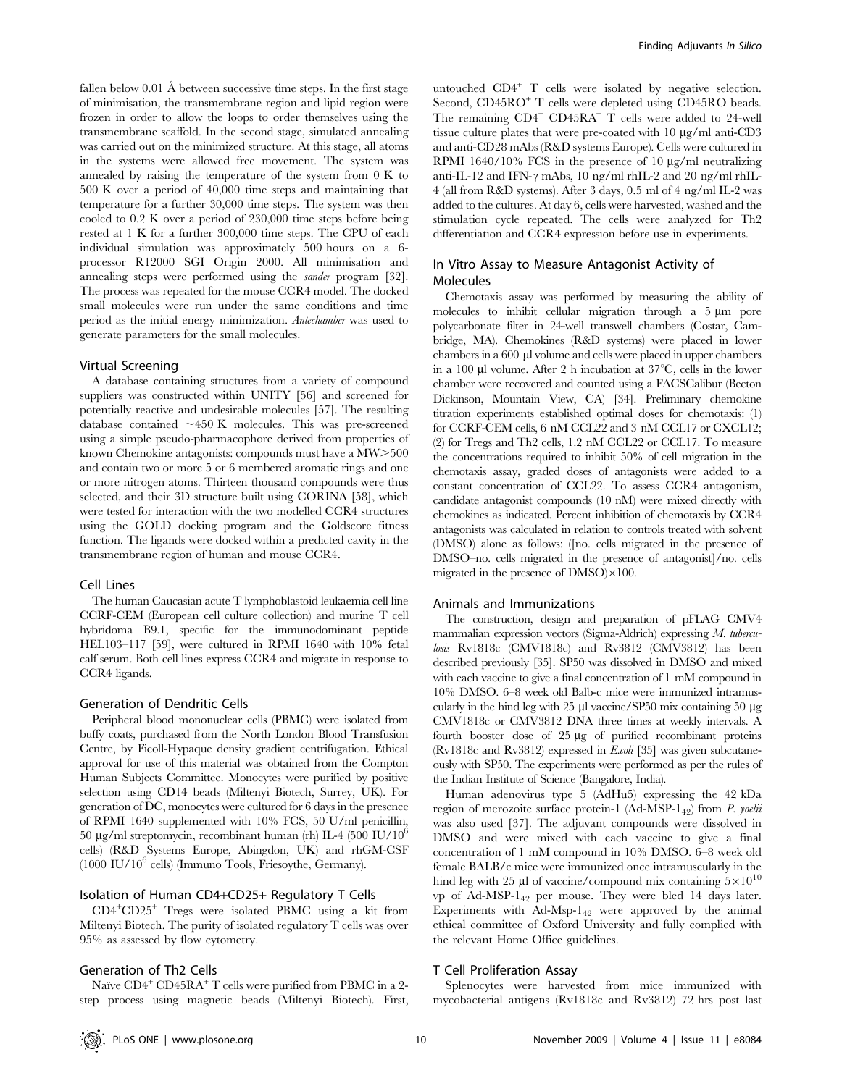fallen below  $0.01$  Å between successive time steps. In the first stage of minimisation, the transmembrane region and lipid region were frozen in order to allow the loops to order themselves using the transmembrane scaffold. In the second stage, simulated annealing was carried out on the minimized structure. At this stage, all atoms in the systems were allowed free movement. The system was annealed by raising the temperature of the system from 0 K to 500 K over a period of 40,000 time steps and maintaining that temperature for a further 30,000 time steps. The system was then cooled to 0.2 K over a period of 230,000 time steps before being rested at 1 K for a further 300,000 time steps. The CPU of each individual simulation was approximately 500 hours on a 6 processor R12000 SGI Origin 2000. All minimisation and annealing steps were performed using the sander program [32]. The process was repeated for the mouse CCR4 model. The docked small molecules were run under the same conditions and time period as the initial energy minimization. Antechamber was used to generate parameters for the small molecules.

## Virtual Screening

A database containing structures from a variety of compound suppliers was constructed within UNITY [56] and screened for potentially reactive and undesirable molecules [57]. The resulting database contained  $\sim$ 450 K molecules. This was pre-screened using a simple pseudo-pharmacophore derived from properties of known Chemokine antagonists: compounds must have a  $\text{MW} > 500$ and contain two or more 5 or 6 membered aromatic rings and one or more nitrogen atoms. Thirteen thousand compounds were thus selected, and their 3D structure built using CORINA [58], which were tested for interaction with the two modelled CCR4 structures using the GOLD docking program and the Goldscore fitness function. The ligands were docked within a predicted cavity in the transmembrane region of human and mouse CCR4.

#### Cell Lines

The human Caucasian acute T lymphoblastoid leukaemia cell line CCRF-CEM (European cell culture collection) and murine T cell hybridoma B9.1, specific for the immunodominant peptide HEL103–117 [59], were cultured in RPMI 1640 with 10% fetal calf serum. Both cell lines express CCR4 and migrate in response to CCR4 ligands.

## Generation of Dendritic Cells

Peripheral blood mononuclear cells (PBMC) were isolated from buffy coats, purchased from the North London Blood Transfusion Centre, by Ficoll-Hypaque density gradient centrifugation. Ethical approval for use of this material was obtained from the Compton Human Subjects Committee. Monocytes were purified by positive selection using CD14 beads (Miltenyi Biotech, Surrey, UK). For generation of DC, monocytes were cultured for 6 days in the presence of RPMI 1640 supplemented with 10% FCS, 50 U/ml penicillin, 50  $\mu$ g/ml streptomycin, recombinant human (rh) IL-4 (500 IU/10<sup>6</sup> cells) (R&D Systems Europe, Abingdon, UK) and rhGM-CSF (1000 IU/10<sup>6</sup> cells) (Immuno Tools, Friesoythe, Germany).

## Isolation of Human CD4+CD25+ Regulatory T Cells

CD4+CD25<sup>+</sup> Tregs were isolated PBMC using a kit from Miltenyi Biotech. The purity of isolated regulatory T cells was over 95% as assessed by flow cytometry.

#### Generation of Th2 Cells

Naïve  $CD4^+CD45RA^+T$  cells were purified from PBMC in a 2step process using magnetic beads (Miltenyi Biotech). First, untouched CD4<sup>+</sup> T cells were isolated by negative selection. Second, CD45RO<sup>+</sup> T cells were depleted using CD45RO beads. The remaining CD4<sup>+</sup> CD45RA<sup>+</sup> T cells were added to 24-well tissue culture plates that were pre-coated with  $10 \mu g/ml$  anti-CD3 and anti-CD28 mAbs (R&D systems Europe). Cells were cultured in RPMI 1640/10% FCS in the presence of 10  $\mu$ g/ml neutralizing anti-IL-12 and IFN- $\gamma$  mAbs, 10 ng/ml rhIL-2 and 20 ng/ml rhIL-4 (all from R&D systems). After 3 days, 0.5 ml of 4 ng/ml IL-2 was added to the cultures. At day 6, cells were harvested, washed and the stimulation cycle repeated. The cells were analyzed for Th2 differentiation and CCR4 expression before use in experiments.

# In Vitro Assay to Measure Antagonist Activity of Molecules

Chemotaxis assay was performed by measuring the ability of molecules to inhibit cellular migration through a  $5 \mu m$  pore polycarbonate filter in 24-well transwell chambers (Costar, Cambridge, MA). Chemokines (R&D systems) were placed in lower chambers in a 600 µl volume and cells were placed in upper chambers in a 100  $\mu$ l volume. After 2 h incubation at 37 $\degree$ C, cells in the lower chamber were recovered and counted using a FACSCalibur (Becton Dickinson, Mountain View, CA) [34]. Preliminary chemokine titration experiments established optimal doses for chemotaxis: (1) for CCRF-CEM cells, 6 nM CCL22 and 3 nM CCL17 or CXCL12; (2) for Tregs and Th2 cells, 1.2 nM CCL22 or CCL17. To measure the concentrations required to inhibit 50% of cell migration in the chemotaxis assay, graded doses of antagonists were added to a constant concentration of CCL22. To assess CCR4 antagonism, candidate antagonist compounds (10 nM) were mixed directly with chemokines as indicated. Percent inhibition of chemotaxis by CCR4 antagonists was calculated in relation to controls treated with solvent (DMSO) alone as follows: ([no. cells migrated in the presence of DMSO–no. cells migrated in the presence of antagonist]/no. cells migrated in the presence of  $\text{DMSO}(\times100)$ .

#### Animals and Immunizations

The construction, design and preparation of pFLAG CMV4 mammalian expression vectors (Sigma-Aldrich) expressing M. tuberculosis Rv1818c (CMV1818c) and Rv3812 (CMV3812) has been described previously [35]. SP50 was dissolved in DMSO and mixed with each vaccine to give a final concentration of 1 mM compound in 10% DMSO. 6–8 week old Balb-c mice were immunized intramuscularly in the hind leg with  $25 \mu$  vaccine/SP50 mix containing 50  $\mu$ g CMV1818c or CMV3812 DNA three times at weekly intervals. A fourth booster dose of  $25 \mu g$  of purified recombinant proteins (Rv1818c and Rv3812) expressed in E.coli [35] was given subcutaneously with SP50. The experiments were performed as per the rules of the Indian Institute of Science (Bangalore, India).

Human adenovirus type 5 (AdHu5) expressing the 42 kDa region of merozoite surface protein-1 (Ad-MSP-1<sub>42</sub>) from P. yoelii was also used [37]. The adjuvant compounds were dissolved in DMSO and were mixed with each vaccine to give a final concentration of 1 mM compound in 10% DMSO. 6–8 week old female BALB/c mice were immunized once intramuscularly in the hind leg with 25  $\mu$ l of vaccine/compound mix containing  $5\times10^{10}$ vp of Ad-MSP-1<sup>42</sup> per mouse. They were bled 14 days later. Experiments with Ad-Msp- $1_{42}$  were approved by the animal ethical committee of Oxford University and fully complied with the relevant Home Office guidelines.

#### T Cell Proliferation Assay

Splenocytes were harvested from mice immunized with mycobacterial antigens (Rv1818c and Rv3812) 72 hrs post last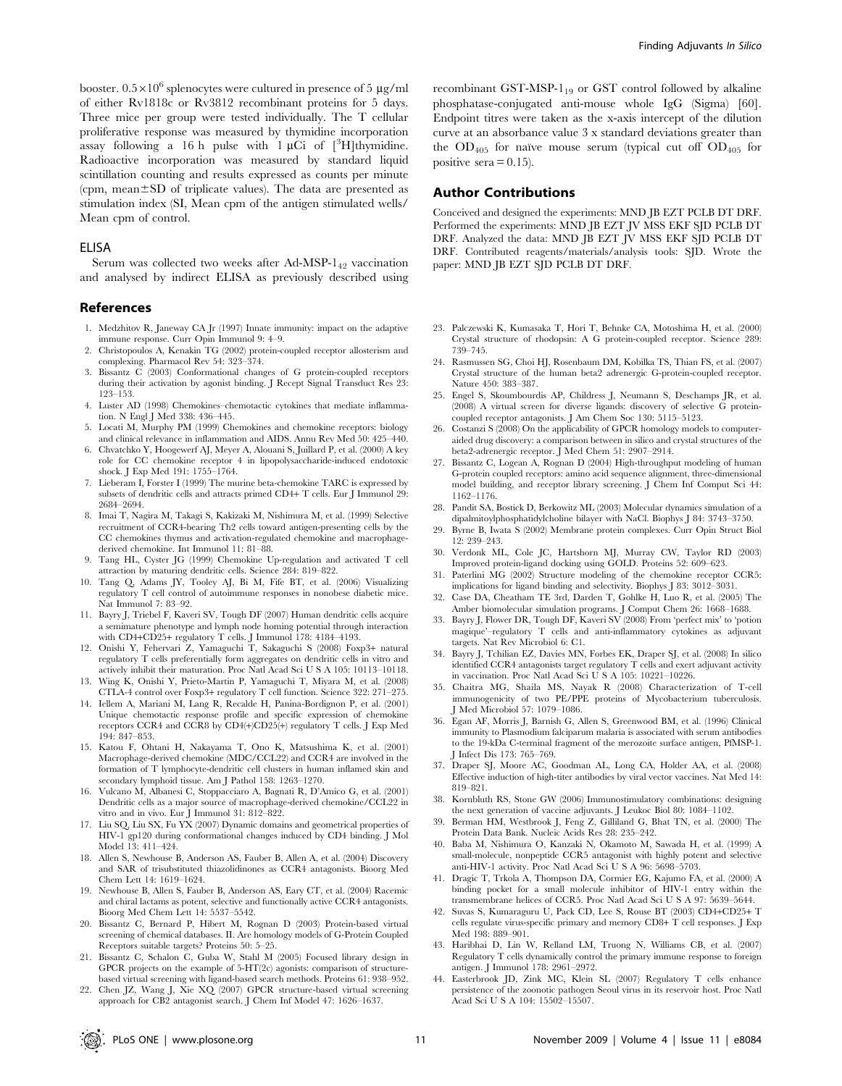booster.  $0.5\times10^6$  splenocytes were cultured in presence of 5  $\mu$ g/ml of either Rv1818c or Rv3812 recombinant proteins for 5 days. Three mice per group were tested individually. The T cellular proliferative response was measured by thymidine incorporation assay following a 16 h pulse with  $1 \mu$ Ci of [<sup>3</sup>H]thymidine. Radioactive incorporation was measured by standard liquid scintillation counting and results expressed as counts per minute  $\gamma$  (cpm, mean $\pm$ SD of triplicate values). The data are presented as stimulation index (SI, Mean cpm of the antigen stimulated wells/ Mean cpm of control.

### ELISA

Serum was collected two weeks after Ad-MSP- $1_{42}$  vaccination and analysed by indirect ELISA as previously described using

#### References

- 1. Medzhitov R, Janeway CA Jr (1997) Innate immunity: impact on the adaptive immune response. Curr Opin Immunol 9: 4–9.
- 2. Christopoulos A, Kenakin TG (2002) protein-coupled receptor allosterism and complexing. Pharmacol Rev 54: 323–374.
- 3. Bissantz C (2003) Conformational changes of G protein-coupled receptors during their activation by agonist binding. J Recept Signal Transduct Res 23: 123–153.
- 4. Luster AD (1998) Chemokines–chemotactic cytokines that mediate inflammation. N Engl J Med 338: 436–445.
- 5. Locati M, Murphy PM (1999) Chemokines and chemokine receptors: biology and clinical relevance in inflammation and AIDS. Annu Rev Med 50: 425–440.
- 6. Chvatchko Y, Hoogewerf AJ, Meyer A, Alouani S, Juillard P, et al. (2000) A key role for CC chemokine receptor 4 in lipopolysaccharide-induced endotoxic shock. J Exp Med 191: 1755–1764.
- 7. Lieberam I, Forster I (1999) The murine beta-chemokine TARC is expressed by subsets of dendritic cells and attracts primed CD4+ T cells. Eur J Immunol 29: 2684–2694.
- 8. Imai T, Nagira M, Takagi S, Kakizaki M, Nishimura M, et al. (1999) Selective recruitment of CCR4-bearing Th2 cells toward antigen-presenting cells by the CC chemokines thymus and activation-regulated chemokine and macrophagederived chemokine. Int Immunol 11: 81–88.
- 9. Tang HL, Cyster JG (1999) Chemokine Up-regulation and activated T cell attraction by maturing dendritic cells. Science 284: 819–822.
- 10. Tang Q, Adams JY, Tooley AJ, Bi M, Fife BT, et al. (2006) Visualizing regulatory T cell control of autoimmune responses in nonobese diabetic mice. Nat Immunol 7: 83–92.
- 11. Bayry J, Triebel F, Kaveri SV, Tough DF (2007) Human dendritic cells acquire a semimature phenotype and lymph node homing potential through interaction with CD4+CD25+ regulatory T cells. J Immunol 178: 4184–4193.
- 12. Onishi Y, Fehervari Z, Yamaguchi T, Sakaguchi S (2008) Foxp3+ natural regulatory T cells preferentially form aggregates on dendritic cells in vitro and actively inhibit their maturation. Proc Natl Acad Sci U S A 105: 10113–10118.
- 13. Wing K, Onishi Y, Prieto-Martin P, Yamaguchi T, Miyara M, et al. (2008) CTLA-4 control over Foxp3+ regulatory T cell function. Science 322: 271–275.
- 14. Iellem A, Mariani M, Lang R, Recalde H, Panina-Bordignon P, et al. (2001) Unique chemotactic response profile and specific expression of chemokine receptors CCR4 and CCR8 by CD4(+)CD25(+) regulatory T cells. J Exp Med 194: 847–853.
- 15. Katou F, Ohtani H, Nakayama T, Ono K, Matsushima K, et al. (2001) Macrophage-derived chemokine (MDC/CCL22) and CCR4 are involved in the formation of T lymphocyte-dendritic cell clusters in human inflamed skin and secondary lymphoid tissue. Am J Pathol 158: 1263–1270.
- 16. Vulcano M, Albanesi C, Stoppacciaro A, Bagnati R, D'Amico G, et al. (2001) Dendritic cells as a major source of macrophage-derived chemokine/CCL22 in vitro and in vivo. Eur J Immunol 31: 812–822.
- 17. Liu SQ, Liu SX, Fu YX (2007) Dynamic domains and geometrical properties of HIV-1 gp120 during conformational changes induced by CD4 binding. J Mol Model 13: 411–424.
- 18. Allen S, Newhouse B, Anderson AS, Fauber B, Allen A, et al. (2004) Discovery and SAR of trisubstituted thiazolidinones as CCR4 antagonists. Bioorg Med Chem Lett 14: 1619–1624.
- 19. Newhouse B, Allen S, Fauber B, Anderson AS, Eary CT, et al. (2004) Racemic and chiral lactams as potent, selective and functionally active CCR4 antagonists. Bioorg Med Chem Lett 14: 5537–5542.
- 20. Bissantz C, Bernard P, Hibert M, Rognan D (2003) Protein-based virtual screening of chemical databases. II. Are homology models of G-Protein Coupled Receptors suitable targets? Proteins 50: 5–25.
- 21. Bissantz C, Schalon C, Guba W, Stahl M (2005) Focused library design in GPCR projects on the example of 5-HT(2c) agonists: comparison of structurebased virtual screening with ligand-based search methods. Proteins 61: 938–952.
- 22. Chen JZ, Wang J, Xie XQ (2007) GPCR structure-based virtual screening approach for CB2 antagonist search. J Chem Inf Model 47: 1626–1637.

recombinant GST-MSP- $1_{19}$  or GST control followed by alkaline phosphatase-conjugated anti-mouse whole IgG (Sigma) [60]. Endpoint titres were taken as the x-axis intercept of the dilution curve at an absorbance value 3 x standard deviations greater than the  $OD_{405}$  for naïve mouse serum (typical cut off  $OD_{405}$  for positive sera  $= 0.15$ ).

# Author Contributions

Conceived and designed the experiments: MND JB EZT PCLB DT DRF. Performed the experiments: MND JB EZT JV MSS EKF SJD PCLB DT DRF. Analyzed the data: MND JB EZT JV MSS EKF SJD PCLB DT DRF. Contributed reagents/materials/analysis tools: SJD. Wrote the paper: MND IB EZT SID PCLB DT DRF.

- 23. Palczewski K, Kumasaka T, Hori T, Behnke CA, Motoshima H, et al. (2000) Crystal structure of rhodopsin: A G protein-coupled receptor. Science 289: 739–745.
- 24. Rasmussen SG, Choi HJ, Rosenbaum DM, Kobilka TS, Thian FS, et al. (2007) Crystal structure of the human beta2 adrenergic G-protein-coupled receptor. Nature 450: 383–387.
- 25. Engel S, Skoumbourdis AP, Childress J, Neumann S, Deschamps JR, et al. (2008) A virtual screen for diverse ligands: discovery of selective G proteincoupled receptor antagonists. J Am Chem Soc 130: 5115–5123.
- 26. Costanzi S (2008) On the applicability of GPCR homology models to computeraided drug discovery: a comparison between in silico and crystal structures of the beta2-adrenergic receptor. J Med Chem 51: 2907–2914.
- Bissantz C, Logean A, Rognan D (2004) High-throughput modeling of human G-protein coupled receptors: amino acid sequence alignment, three-dimensional model building, and receptor library screening. J Chem Inf Comput Sci 44: 1162–1176.
- 28. Pandit SA, Bostick D, Berkowitz ML (2003) Molecular dynamics simulation of a dipalmitoylphosphatidylcholine bilayer with NaCl. Biophys J 84: 3743–3750.
- 29. Byrne B, Iwata S (2002) Membrane protein complexes. Curr Opin Struct Biol 12: 239–243.
- 30. Verdonk ML, Cole JC, Hartshorn MJ, Murray CW, Taylor RD (2003) Improved protein-ligand docking using GOLD. Proteins 52: 609–623.
- 31. Paterlini MG (2002) Structure modeling of the chemokine receptor CCR5: implications for ligand binding and selectivity. Biophys J 83: 3012–3031.
- 32. Case DA, Cheatham TE 3rd, Darden T, Gohlke H, Luo R, et al. (2005) The Amber biomolecular simulation programs. J Comput Chem 26: 1668–1688.
- 33. Bayry J, Flower DR, Tough DF, Kaveri SV (2008) From 'perfect mix' to 'potion magique'–regulatory T cells and anti-inflammatory cytokines as adjuvant targets. Nat Rev Microbiol 6: C1.
- 34. Bayry J, Tchilian EZ, Davies MN, Forbes EK, Draper SJ, et al. (2008) In silico identified CCR4 antagonists target regulatory T cells and exert adjuvant activity in vaccination. Proc Natl Acad Sci U S A 105: 10221–10226.
- 35. Chaitra MG, Shaila MS, Nayak R (2008) Characterization of T-cell immunogenicity of two PE/PPE proteins of Mycobacterium tuberculosis. J Med Microbiol 57: 1079–1086.
- 36. Egan AF, Morris J, Barnish G, Allen S, Greenwood BM, et al. (1996) Clinical immunity to Plasmodium falciparum malaria is associated with serum antibodies to the 19-kDa C-terminal fragment of the merozoite surface antigen, PfMSP-1. J Infect Dis 173: 765–769.
- 37. Draper SJ, Moore AC, Goodman AL, Long CA, Holder AA, et al. (2008) Effective induction of high-titer antibodies by viral vector vaccines. Nat Med 14: 819–821.
- 38. Kornbluth RS, Stone GW (2006) Immunostimulatory combinations: designing the next generation of vaccine adjuvants. J Leukoc Biol 80: 1084–1102.
- 39. Berman HM, Westbrook J, Feng Z, Gilliland G, Bhat TN, et al. (2000) The Protein Data Bank. Nucleic Acids Res 28: 235–242.
- 40. Baba M, Nishimura O, Kanzaki N, Okamoto M, Sawada H, et al. (1999) A small-molecule, nonpeptide CCR5 antagonist with highly potent and selective anti-HIV-1 activity. Proc Natl Acad Sci U S A 96: 5698–5703.
- 41. Dragic T, Trkola A, Thompson DA, Cormier EG, Kajumo FA, et al. (2000) A binding pocket for a small molecule inhibitor of HIV-1 entry within the transmembrane helices of CCR5. Proc Natl Acad Sci U S A 97: 5639–5644.
- 42. Suvas S, Kumaraguru U, Pack CD, Lee S, Rouse BT (2003) CD4+CD25+ T cells regulate virus-specific primary and memory CD8+ T cell responses. J Exp Med 198: 889-901
- 43. Haribhai D, Lin W, Relland LM, Truong N, Williams CB, et al. (2007) Regulatory T cells dynamically control the primary immune response to foreign antigen. J Immunol 178: 2961–2972.
- 44. Easterbrook JD, Zink MC, Klein SL (2007) Regulatory T cells enhance persistence of the zoonotic pathogen Seoul virus in its reservoir host. Proc Natl Acad Sci U S A 104: 15502–15507.